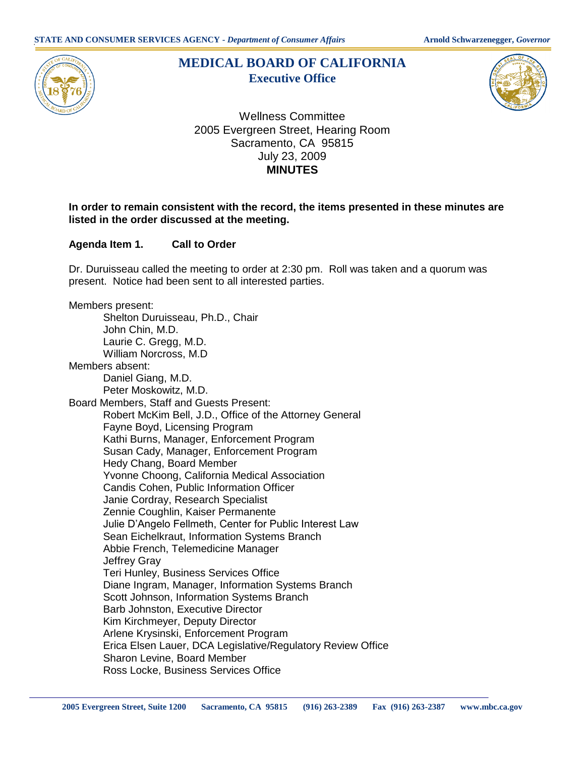

# **MEDICAL BOARD OF CALIFORNIA Executive Office**



Wellness Committee 2005 Evergreen Street, Hearing Room Sacramento, CA 95815 July 23, 2009 **MINUTES** 

# **In order to remain consistent with the record, the items presented in these minutes are listed in the order discussed at the meeting.**

**Agenda Item 1. Call to Order** 

 Dr. Duruisseau called the meeting to order at 2:30 pm. Roll was taken and a quorum was present. Notice had been sent to all interested parties.

 Shelton Duruisseau, Ph.D., Chair Laurie C. Gregg, M.D. Daniel Giang, M.D. Peter Moskowitz, M.D. Board Members, Staff and Guests Present: Robert McKim Bell, J.D., Office of the Attorney General Fayne Boyd, Licensing Program Kathi Burns, Manager, Enforcement Program Susan Cady, Manager, Enforcement Program Hedy Chang, Board Member Yvonne Choong, California Medical Association Abbie French, Telemedicine Manager Jeffrey Gray Diane Ingram, Manager, Information Systems Branch Kim Kirchmeyer, Deputy Director Arlene Krysinski, Enforcement Program Erica Elsen Lauer, DCA Legislative/Regulatory Review Office Sharon Levine, Board Member Members present: John Chin, M.D. William Norcross, M.D Members absent: Candis Cohen, Public Information Officer Janie Cordray, Research Specialist Zennie Coughlin, Kaiser Permanente Julie D'Angelo Fellmeth, Center for Public Interest Law Sean Eichelkraut, Information Systems Branch Teri Hunley, Business Services Office Scott Johnson, Information Systems Branch Barb Johnston, Executive Director Ross Locke, Business Services Office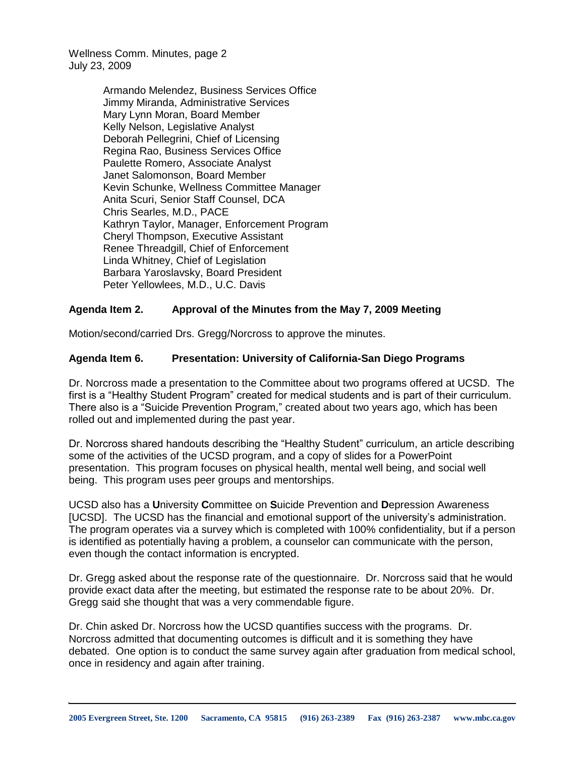> Armando Melendez, Business Services Office Jimmy Miranda, Administrative Services Mary Lynn Moran, Board Member Kelly Nelson, Legislative Analyst Deborah Pellegrini, Chief of Licensing Regina Rao, Business Services Office Kevin Schunke, Wellness Committee Manager Anita Scuri, Senior Staff Counsel, DCA Chris Searles, M.D., PACE Kathryn Taylor, Manager, Enforcement Program Renee Threadgill, Chief of Enforcement Linda Whitney, Chief of Legislation Peter Yellowlees, M.D., U.C. Davis Paulette Romero, Associate Analyst Janet Salomonson, Board Member Cheryl Thompson, Executive Assistant Barbara Yaroslavsky, Board President

## **Agenda Item 2. Approval of the Minutes from the May 7, 2009 Meeting**

Motion/second/carried Drs. Gregg/Norcross to approve the minutes.

## **Agenda Item 6. Presentation: University of California-San Diego Programs**

 Dr. Norcross made a presentation to the Committee about two programs offered at UCSD. The first is a "Healthy Student Program" created for medical students and is part of their curriculum. There also is a "Suicide Prevention Program," created about two years ago, which has been rolled out and implemented during the past year.

 Dr. Norcross shared handouts describing the "Healthy Student" curriculum, an article describing some of the activities of the UCSD program, and a copy of slides for a PowerPoint presentation. This program focuses on physical health, mental well being, and social well being. This program uses peer groups and mentorships.

 UCSD also has a **U**niversity **C**ommittee on **S**uicide Prevention and **D**epression Awareness [UCSD]. The UCSD has the financial and emotional support of the university's administration. The program operates via a survey which is completed with 100% confidentiality, but if a person is identified as potentially having a problem, a counselor can communicate with the person, even though the contact information is encrypted.

 Dr. Gregg asked about the response rate of the questionnaire. Dr. Norcross said that he would provide exact data after the meeting, but estimated the response rate to be about 20%. Dr. Gregg said she thought that was a very commendable figure.

 Dr. Chin asked Dr. Norcross how the UCSD quantifies success with the programs. Dr. Norcross admitted that documenting outcomes is difficult and it is something they have debated. One option is to conduct the same survey again after graduation from medical school, once in residency and again after training.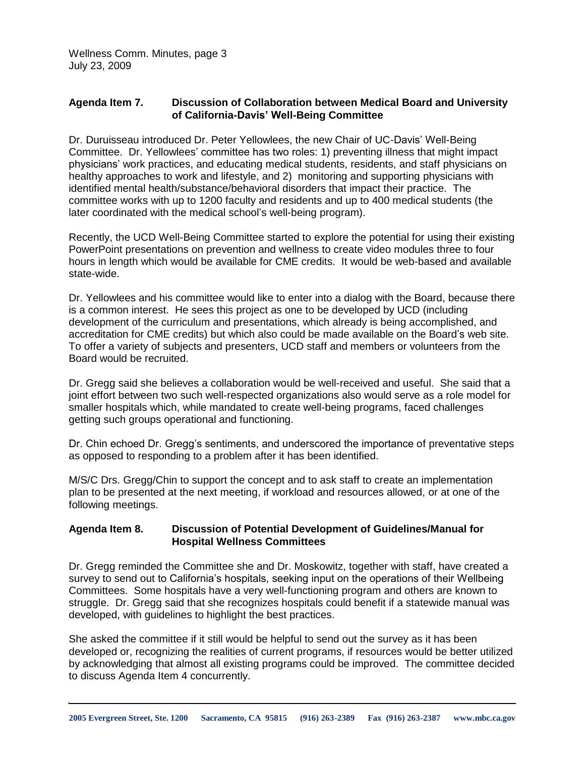## **Agenda Item 7. Discussion of Collaboration between Medical Board and University of California-Davis' Well-Being Committee**

 Dr. Duruisseau introduced Dr. Peter Yellowlees, the new Chair of UC-Davis' Well-Being Committee. Dr. Yellowlees' committee has two roles: 1) preventing illness that might impact physicians' work practices, and educating medical students, residents, and staff physicians on healthy approaches to work and lifestyle, and 2) monitoring and supporting physicians with identified mental health/substance/behavioral disorders that impact their practice. The committee works with up to 1200 faculty and residents and up to 400 medical students (the later coordinated with the medical school's well-being program).

 Recently, the UCD Well-Being Committee started to explore the potential for using their existing PowerPoint presentations on prevention and wellness to create video modules three to four hours in length which would be available for CME credits. It would be web-based and available state-wide.

state-wide.<br>Dr. Yellowlees and his committee would like to enter into a dialog with the Board, because there is a common interest. He sees this project as one to be developed by UCD (including development of the curriculum and presentations, which already is being accomplished, and accreditation for CME credits) but which also could be made available on the Board's web site. To offer a variety of subjects and presenters, UCD staff and members or volunteers from the Board would be recruited.

Board would be recruited.<br>Dr. Gregg said she believes a collaboration would be well-received and useful. She said that a smaller hospitals which, while mandated to create well-being programs, faced challenges getting such groups operational and functioning. joint effort between two such well-respected organizations also would serve as a role model for

 as opposed to responding to a problem after it has been identified. Dr. Chin echoed Dr. Gregg's sentiments, and underscored the importance of preventative steps

 M/S/C Drs. Gregg/Chin to support the concept and to ask staff to create an implementation plan to be presented at the next meeting, if workload and resources allowed, or at one of the following meetings.

## **Agenda Item 8. Discussion of Potential Development of Guidelines/Manual for Hospital Wellness Committees**

 Dr. Gregg reminded the Committee she and Dr. Moskowitz, together with staff, have created a survey to send out to California's hospitals, seeking input on the operations of their Wellbeing Committees. Some hospitals have a very well-functioning program and others are known to struggle. Dr. Gregg said that she recognizes hospitals could benefit if a statewide manual was developed, with guidelines to highlight the best practices.

 She asked the committee if it still would be helpful to send out the survey as it has been developed or, recognizing the realities of current programs, if resources would be better utilized by acknowledging that almost all existing programs could be improved. The committee decided to discuss Agenda Item 4 concurrently.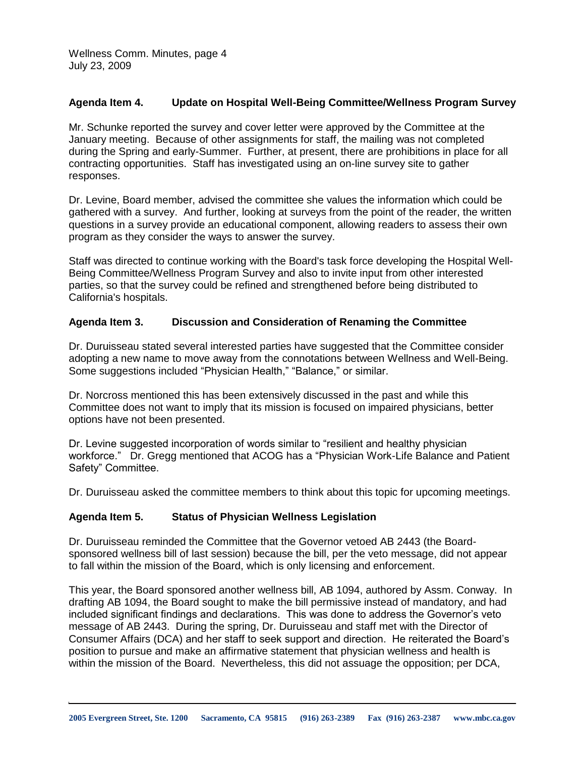#### **Agenda Item 4. Update on Hospital Well-Being Committee/Wellness Program Survey**

 Mr. Schunke reported the survey and cover letter were approved by the Committee at the January meeting. Because of other assignments for staff, the mailing was not completed during the Spring and early-Summer. Further, at present, there are prohibitions in place for all contracting opportunities. Staff has investigated using an on-line survey site to gather responses.

 Dr. Levine, Board member, advised the committee she values the information which could be gathered with a survey. And further, looking at surveys from the point of the reader, the written questions in a survey provide an educational component, allowing readers to assess their own program as they consider the ways to answer the survey.

 Staff was directed to continue working with the Board's task force developing the Hospital Well- Being Committee/Wellness Program Survey and also to invite input from other interested parties, so that the survey could be refined and strengthened before being distributed to California's hospitals.

#### **Agenda Item 3. Discussion and Consideration of Renaming the Committee**

 Dr. Duruisseau stated several interested parties have suggested that the Committee consider adopting a new name to move away from the connotations between Wellness and Well-Being. Some suggestions included "Physician Health," "Balance," or similar.

 Dr. Norcross mentioned this has been extensively discussed in the past and while this Committee does not want to imply that its mission is focused on impaired physicians, better options have not been presented.

 Dr. Levine suggested incorporation of words similar to "resilient and healthy physician workforce." Dr. Gregg mentioned that ACOG has a "Physician Work-Life Balance and Patient Safety" Committee.

Dr. Duruisseau asked the committee members to think about this topic for upcoming meetings.

## **Agenda Item 5. Status of Physician Wellness Legislation**

 Dr. Duruisseau reminded the Committee that the Governor vetoed AB 2443 (the Board- sponsored wellness bill of last session) because the bill, per the veto message, did not appear to fall within the mission of the Board, which is only licensing and enforcement.

 This year, the Board sponsored another wellness bill, AB 1094, authored by Assm. Conway. In drafting AB 1094, the Board sought to make the bill permissive instead of mandatory, and had included significant findings and declarations. This was done to address the Governor's veto message of AB 2443. During the spring, Dr. Duruisseau and staff met with the Director of Consumer Affairs (DCA) and her staff to seek support and direction. He reiterated the Board's position to pursue and make an affirmative statement that physician wellness and health is within the mission of the Board. Nevertheless, this did not assuage the opposition; per DCA,